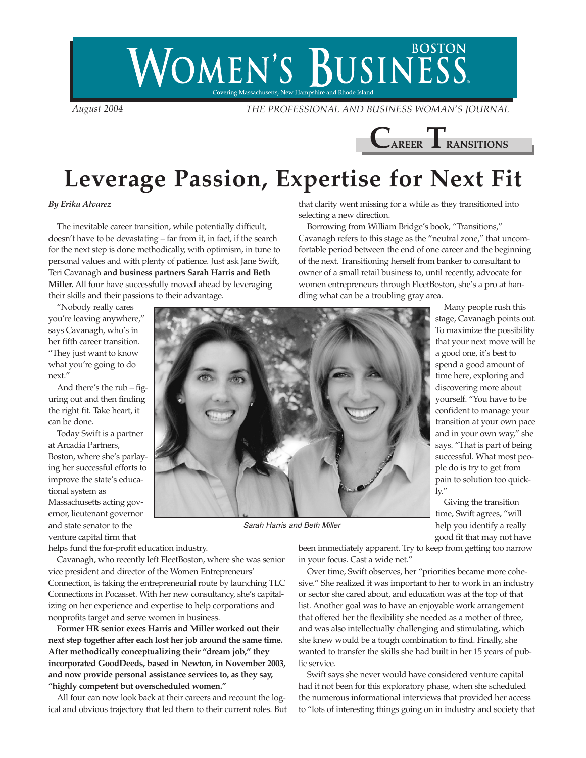## **BOSTON** WOMEN'S BUSINESS. .<br>Covering Massachusetts, New Hampshire and Rhode Island

*August 2004 THE PROFESSIONAL AND BUSINESS WOMAN'S JOURNAL*



## **Leverage Passion, Expertise for Next Fit**

## *By Erika Alvarez*

The inevitable career transition, while potentially difficult, doesn't have to be devastating – far from it, in fact, if the search for the next step is done methodically, with optimism, in tune to personal values and with plenty of patience. Just ask Jane Swift, Teri Cavanagh **and business partners Sarah Harris and Beth Miller.** All four have successfully moved ahead by leveraging their skills and their passions to their advantage.

"Nobody really cares you're leaving anywhere," says Cavanagh, who's in her fifth career transition. "They just want to know what you're going to do next."

And there's the rub – figuring out and then finding the right fit. Take heart, it can be done.

Today Swift is a partner at Arcadia Partners, Boston, where she's parlaying her successful efforts to improve the state's educational system as Massachusetts acting governor, lieutenant governor and state senator to the venture capital firm that

helps fund the for-profit education industry.

Cavanagh, who recently left FleetBoston, where she was senior vice president and director of the Women Entrepreneurs' Connection, is taking the entrepreneurial route by launching TLC Connections in Pocasset. With her new consultancy, she's capitalizing on her experience and expertise to help corporations and nonprofits target and serve women in business.

**Former HR senior execs Harris and Miller worked out their next step together after each lost her job around the same time. After methodically conceptualizing their "dream job," they incorporated GoodDeeds, based in Newton, in November 2003, and now provide personal assistance services to, as they say, "highly competent but overscheduled women."**

All four can now look back at their careers and recount the logical and obvious trajectory that led them to their current roles. But that clarity went missing for a while as they transitioned into selecting a new direction.

Borrowing from William Bridge's book, "Transitions," Cavanagh refers to this stage as the "neutral zone," that uncomfortable period between the end of one career and the beginning of the next. Transitioning herself from banker to consultant to owner of a small retail business to, until recently, advocate for women entrepreneurs through FleetBoston, she's a pro at handling what can be a troubling gray area.



*Sarah Harris and Beth Miller*

Many people rush this stage, Cavanagh points out. To maximize the possibility that your next move will be a good one, it's best to spend a good amount of time here, exploring and discovering more about yourself. "You have to be confident to manage your transition at your own pace and in your own way," she says. "That is part of being successful. What most people do is try to get from pain to solution too quickly."

Giving the transition time, Swift agrees, "will help you identify a really good fit that may not have

been immediately apparent. Try to keep from getting too narrow in your focus. Cast a wide net."

Over time, Swift observes, her "priorities became more cohesive." She realized it was important to her to work in an industry or sector she cared about, and education was at the top of that list. Another goal was to have an enjoyable work arrangement that offered her the flexibility she needed as a mother of three, and was also intellectually challenging and stimulating, which she knew would be a tough combination to find. Finally, she wanted to transfer the skills she had built in her 15 years of public service.

Swift says she never would have considered venture capital had it not been for this exploratory phase, when she scheduled the numerous informational interviews that provided her access to "lots of interesting things going on in industry and society that